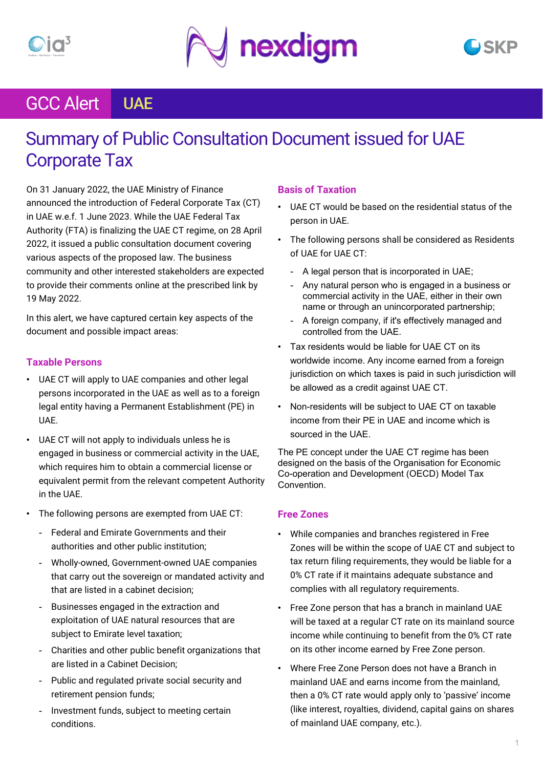

## GCC Alert UAE

## Summary of Public Consultation Document issued for UAE Corporate Tax

On 31 January 2022, the UAE Ministry of Finance announced the introduction of Federal Corporate Tax (CT) in UAE w.e.f. 1 June 2023. While the UAE Federal Tax Authority (FTA) is finalizing the UAE CT regime, on 28 April 2022, it issued a public consultation document covering various aspects of the proposed law. The business community and other interested stakeholders are expected to provide their comments online at the prescribed link by 19 May 2022.

In this alert, we have captured certain key aspects of the document and possible impact areas:

## **Taxable Persons**

- UAE CT will apply to UAE companies and other legal persons incorporated in the UAE as well as to a foreign legal entity having a Permanent Establishment (PE) in UAE.
- UAE CT will not apply to individuals unless he is engaged in business or commercial activity in the UAE, which requires him to obtain a commercial license or equivalent permit from the relevant competent Authority in the UAE.
- The following persons are exempted from UAE CT:
	- Federal and Emirate Governments and their authorities and other public institution;
	- Wholly-owned, Government-owned UAE companies that carry out the sovereign or mandated activity and that are listed in a cabinet decision;
	- Businesses engaged in the extraction and exploitation of UAE natural resources that are subject to Emirate level taxation;
	- Charities and other public benefit organizations that are listed in a Cabinet Decision;
	- Public and regulated private social security and retirement pension funds;
	- Investment funds, subject to meeting certain conditions.

## **Basis of Taxation**

- UAE CT would be based on the residential status of the person in UAE.
- The following persons shall be considered as Residents of UAE for UAE CT:
	- A legal person that is incorporated in UAE;
	- Any natural person who is engaged in a business or commercial activity in the UAE, either in their own name or through an unincorporated partnership;
	- A foreign company, if it's effectively managed and controlled from the UAE.
- Tax residents would be liable for UAE CT on its worldwide income. Any income earned from a foreign jurisdiction on which taxes is paid in such jurisdiction will be allowed as a credit against UAE CT.
- Non-residents will be subject to UAE CT on taxable income from their PE in UAE and income which is sourced in the UAE.

The PE concept under the UAE CT regime has been designed on the basis of the Organisation for Economic Co-operation and Development (OECD) Model Tax Convention.

### **Free Zones**

- While companies and branches registered in Free Zones will be within the scope of UAE CT and subject to tax return filing requirements, they would be liable for a 0% CT rate if it maintains adequate substance and complies with all regulatory requirements.
- Free Zone person that has a branch in mainland UAE will be taxed at a regular CT rate on its mainland source income while continuing to benefit from the 0% CT rate on its other income earned by Free Zone person.
- Where Free Zone Person does not have a Branch in mainland UAE and earns income from the mainland, then a 0% CT rate would apply only to 'passive' income (like interest, royalties, dividend, capital gains on shares of mainland UAE company, etc.).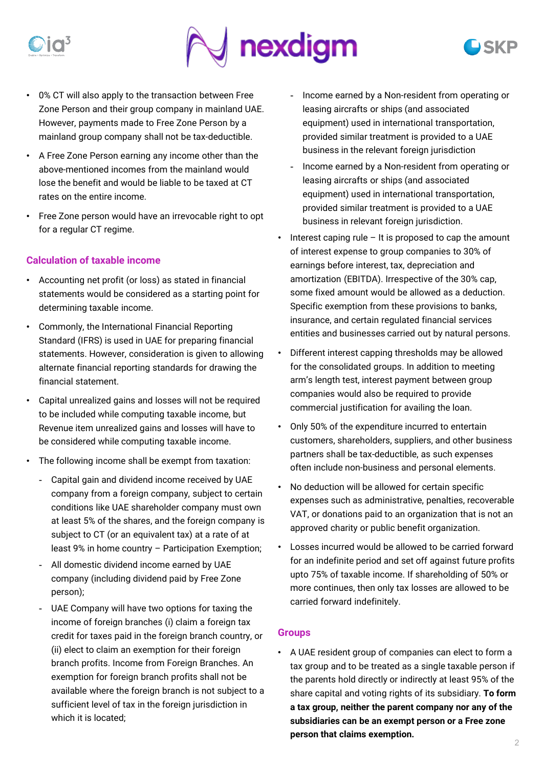

- 0% CT will also apply to the transaction between Free Zone Person and their group company in mainland UAE. However, payments made to Free Zone Person by a mainland group company shall not be tax-deductible.
- A Free Zone Person earning any income other than the above-mentioned incomes from the mainland would lose the benefit and would be liable to be taxed at CT rates on the entire income.
- Free Zone person would have an irrevocable right to opt for a regular CT regime.

## **Calculation of taxable income**

- Accounting net profit (or loss) as stated in financial statements would be considered as a starting point for determining taxable income.
- Commonly, the International Financial Reporting Standard (IFRS) is used in UAE for preparing financial statements. However, consideration is given to allowing alternate financial reporting standards for drawing the financial statement.
- Capital unrealized gains and losses will not be required to be included while computing taxable income, but Revenue item unrealized gains and losses will have to be considered while computing taxable income.
- The following income shall be exempt from taxation:
	- Capital gain and dividend income received by UAE company from a foreign company, subject to certain conditions like UAE shareholder company must own at least 5% of the shares, and the foreign company is subject to CT (or an equivalent tax) at a rate of at least 9% in home country – Participation Exemption;
	- All domestic dividend income earned by UAE company (including dividend paid by Free Zone person);
	- UAE Company will have two options for taxing the income of foreign branches (i) claim a foreign tax credit for taxes paid in the foreign branch country, or (ii) elect to claim an exemption for their foreign branch profits. Income from Foreign Branches. An exemption for foreign branch profits shall not be available where the foreign branch is not subject to a sufficient level of tax in the foreign jurisdiction in which it is located;
- Income earned by a Non-resident from operating or leasing aircrafts or ships (and associated equipment) used in international transportation, provided similar treatment is provided to a UAE business in the relevant foreign jurisdiction
- Income earned by a Non-resident from operating or leasing aircrafts or ships (and associated equipment) used in international transportation, provided similar treatment is provided to a UAE business in relevant foreign jurisdiction.
- $\cdot$  Interest caping rule It is proposed to cap the amount of interest expense to group companies to 30% of earnings before interest, tax, depreciation and amortization (EBITDA). Irrespective of the 30% cap, some fixed amount would be allowed as a deduction. Specific exemption from these provisions to banks, insurance, and certain regulated financial services entities and businesses carried out by natural persons.
- Different interest capping thresholds may be allowed for the consolidated groups. In addition to meeting arm's length test, interest payment between group companies would also be required to provide commercial justification for availing the loan.
- Only 50% of the expenditure incurred to entertain customers, shareholders, suppliers, and other business partners shall be tax-deductible, as such expenses often include non-business and personal elements.
- No deduction will be allowed for certain specific expenses such as administrative, penalties, recoverable VAT, or donations paid to an organization that is not an approved charity or public benefit organization.
- Losses incurred would be allowed to be carried forward for an indefinite period and set off against future profits upto 75% of taxable income. If shareholding of 50% or more continues, then only tax losses are allowed to be carried forward indefinitely.

### **Groups**

• A UAE resident group of companies can elect to form a tax group and to be treated as a single taxable person if the parents hold directly or indirectly at least 95% of the share capital and voting rights of its subsidiary. **To form a tax group, neither the parent company nor any of the subsidiaries can be an exempt person or a Free zone person that claims exemption.**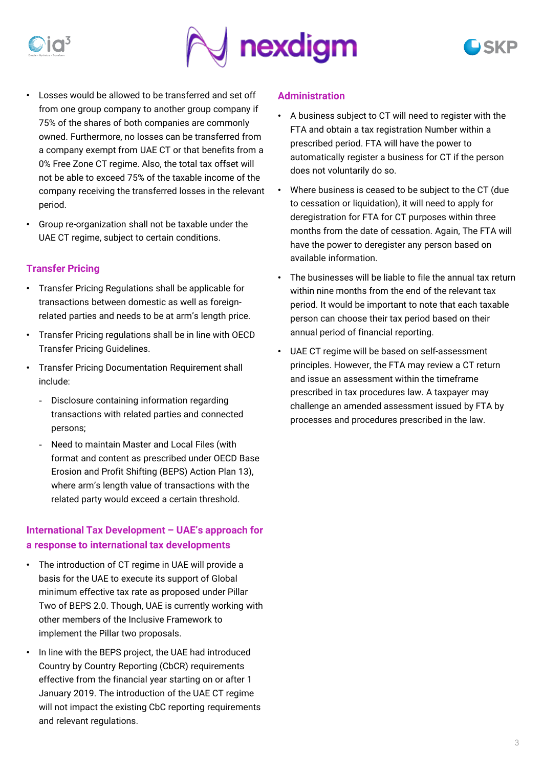

- Losses would be allowed to be transferred and set off from one group company to another group company if 75% of the shares of both companies are commonly owned. Furthermore, no losses can be transferred from a company exempt from UAE CT or that benefits from a 0% Free Zone CT regime. Also, the total tax offset will not be able to exceed 75% of the taxable income of the company receiving the transferred losses in the relevant period.
- Group re-organization shall not be taxable under the UAE CT regime, subject to certain conditions.

## **Transfer Pricing**

- Transfer Pricing Regulations shall be applicable for transactions between domestic as well as foreignrelated parties and needs to be at arm's length price.
- Transfer Pricing regulations shall be in line with OECD Transfer Pricing Guidelines.
- Transfer Pricing Documentation Requirement shall include:
	- Disclosure containing information regarding transactions with related parties and connected persons;
	- Need to maintain Master and Local Files (with format and content as prescribed under OECD Base Erosion and Profit Shifting (BEPS) Action Plan 13), where arm's length value of transactions with the related party would exceed a certain threshold.

## **International Tax Development – UAE's approach for a response to international tax developments**

- The introduction of CT regime in UAE will provide a basis for the UAE to execute its support of Global minimum effective tax rate as proposed under Pillar Two of BEPS 2.0. Though, UAE is currently working with other members of the Inclusive Framework to implement the Pillar two proposals.
- In line with the BEPS project, the UAE had introduced Country by Country Reporting (CbCR) requirements effective from the financial year starting on or after 1 January 2019. The introduction of the UAE CT regime will not impact the existing CbC reporting requirements and relevant regulations.

### **Administration**

- A business subject to CT will need to register with the FTA and obtain a tax registration Number within a prescribed period. FTA will have the power to automatically register a business for CT if the person does not voluntarily do so.
- Where business is ceased to be subject to the CT (due to cessation or liquidation), it will need to apply for deregistration for FTA for CT purposes within three months from the date of cessation. Again, The FTA will have the power to deregister any person based on available information.
- The businesses will be liable to file the annual tax return within nine months from the end of the relevant tax period. It would be important to note that each taxable person can choose their tax period based on their annual period of financial reporting.
- UAE CT regime will be based on self-assessment principles. However, the FTA may review a CT return and issue an assessment within the timeframe prescribed in tax procedures law. A taxpayer may challenge an amended assessment issued by FTA by processes and procedures prescribed in the law.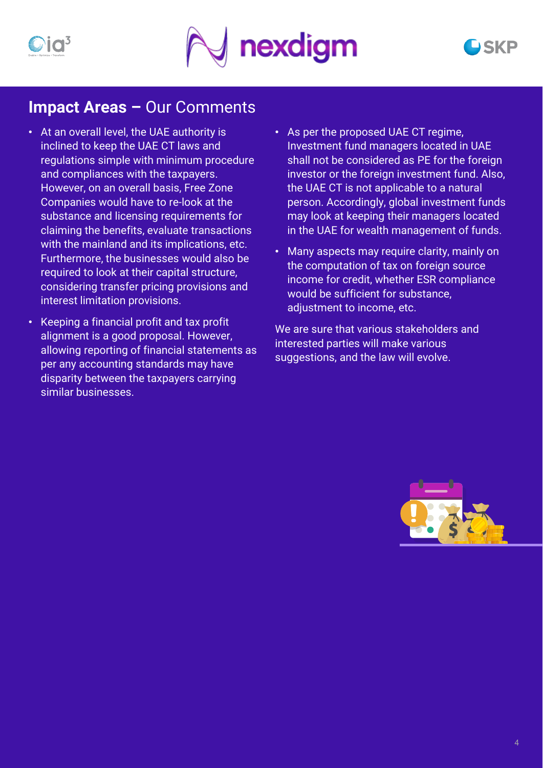

## **Impact Areas –** Our Comments

- At an overall level, the UAE authority is inclined to keep the UAE CT laws and regulations simple with minimum procedure and compliances with the taxpayers. However, on an overall basis, Free Zone Companies would have to re-look at the substance and licensing requirements for claiming the benefits, evaluate transactions with the mainland and its implications, etc. Furthermore, the businesses would also be required to look at their capital structure, considering transfer pricing provisions and interest limitation provisions.
- Keeping a financial profit and tax profit alignment is a good proposal. However, allowing reporting of financial statements as per any accounting standards may have disparity between the taxpayers carrying similar businesses.
- As per the proposed UAE CT regime, Investment fund managers located in UAE shall not be considered as PE for the foreign investor or the foreign investment fund. Also, the UAE CT is not applicable to a natural person. Accordingly, global investment funds may look at keeping their managers located in the UAE for wealth management of funds.
- Many aspects may require clarity, mainly on the computation of tax on foreign source income for credit, whether ESR compliance would be sufficient for substance, adjustment to income, etc.

We are sure that various stakeholders and interested parties will make various suggestions, and the law will evolve.